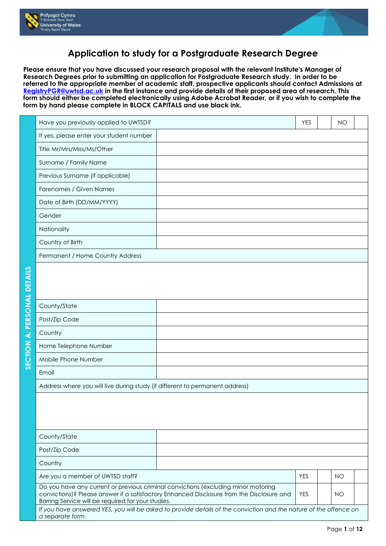



## **Application to study for a Postgraduate Research Degree**

**Please ensure that you have discussed your research proposal with the relevant Institute's Manager of Research Degrees prior to submitting an application for Postgraduate Research study. In order to be referred to the appropriate member of academic staff, prospective applicants should contact Admissions at [RegistryPGR@uwtsd.ac.uk](mailto:RegistryPGR@uwtsd.ac.uk) in the first instance and provide details of their proposed area of research. This form should either be completed electronically using Adobe Acrobat Reader, or if you wish to complete the form by hand please complete in BLOCK CAPITALS and use black ink.**

|                             | Have you previously applied to UWTSD?                                        |                                                                                                                                                                                 | <b>YES</b> | <b>NO</b> |  |
|-----------------------------|------------------------------------------------------------------------------|---------------------------------------------------------------------------------------------------------------------------------------------------------------------------------|------------|-----------|--|
|                             | If yes, please enter your student number                                     |                                                                                                                                                                                 |            |           |  |
|                             | Title Mr/Mrs/Miss/Ms/Other                                                   |                                                                                                                                                                                 |            |           |  |
|                             | Surname / Family Name                                                        |                                                                                                                                                                                 |            |           |  |
|                             | Previous Surname (if applicable)                                             |                                                                                                                                                                                 |            |           |  |
|                             | Forenames / Given Names                                                      |                                                                                                                                                                                 |            |           |  |
|                             | Date of Birth (DD/MM/YYYY)                                                   |                                                                                                                                                                                 |            |           |  |
|                             | Gender                                                                       |                                                                                                                                                                                 |            |           |  |
|                             | Nationality                                                                  |                                                                                                                                                                                 |            |           |  |
|                             | Country of Birth                                                             |                                                                                                                                                                                 |            |           |  |
|                             | Permanent / Home Country Address                                             |                                                                                                                                                                                 |            |           |  |
|                             |                                                                              |                                                                                                                                                                                 |            |           |  |
| SECTION A: PERSONAL DETAILS |                                                                              |                                                                                                                                                                                 |            |           |  |
|                             |                                                                              |                                                                                                                                                                                 |            |           |  |
|                             | County/State                                                                 |                                                                                                                                                                                 |            |           |  |
|                             | Post/Zip Code                                                                |                                                                                                                                                                                 |            |           |  |
|                             | Country                                                                      |                                                                                                                                                                                 |            |           |  |
|                             | Home Telephone Number                                                        |                                                                                                                                                                                 |            |           |  |
|                             | Mobile Phone Number                                                          |                                                                                                                                                                                 |            |           |  |
|                             | Email                                                                        |                                                                                                                                                                                 |            |           |  |
|                             | Address where you will live during study (if different to permanent address) |                                                                                                                                                                                 |            |           |  |
|                             |                                                                              |                                                                                                                                                                                 |            |           |  |
|                             |                                                                              |                                                                                                                                                                                 |            |           |  |
|                             |                                                                              |                                                                                                                                                                                 |            |           |  |
|                             | County/State                                                                 |                                                                                                                                                                                 |            |           |  |
|                             | Post/Zip Code                                                                |                                                                                                                                                                                 |            |           |  |
|                             | Country                                                                      |                                                                                                                                                                                 |            |           |  |
|                             | Are you a member of UWTSD staff?                                             |                                                                                                                                                                                 | <b>YES</b> | <b>NO</b> |  |
|                             | Barring Service will be required for your studies.                           | Do you have any current or previous criminal convictions (excluding minor motoring<br>convictions)? Please answer if a satisfactory Enhanced Disclosure from the Disclosure and | <b>YES</b> | <b>NO</b> |  |
|                             | a separate form.                                                             | If you have answered YES, you will be asked to provide details of the conviction and the nature of the offence on                                                               |            |           |  |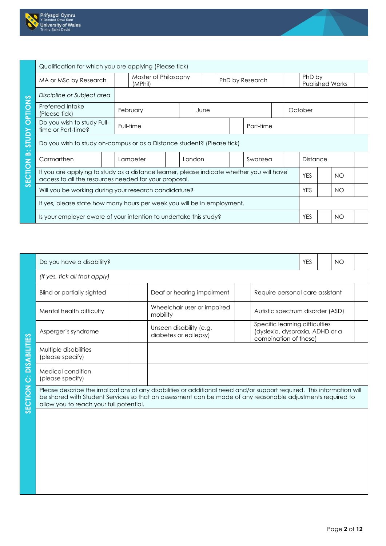



|                     | Qualification for which you are applying (Please tick)                                                                                             |                                 |        |      |  |                 |                 |                        |  |
|---------------------|----------------------------------------------------------------------------------------------------------------------------------------------------|---------------------------------|--------|------|--|-----------------|-----------------|------------------------|--|
|                     | MA or MSc by Research                                                                                                                              | Master of Philosophy<br>(MPhil) |        |      |  | PhD by Research | PhD by          | <b>Published Works</b> |  |
|                     | Discipline or Subject area                                                                                                                         |                                 |        |      |  |                 |                 |                        |  |
| <b>PTIONS</b>       | Preferred Intake<br>(Please tick)                                                                                                                  | February                        |        | June |  |                 | October         |                        |  |
| $\overline{O}$      | Do you wish to study Full-<br>time or Part-time?                                                                                                   | Full-time                       |        |      |  | Part-time       |                 |                        |  |
| <b>Adnis</b>        | Do you wish to study on-campus or as a Distance student? (Please tick)                                                                             |                                 |        |      |  |                 |                 |                        |  |
| $\ddot{\mathbf{a}}$ | Carmarthen                                                                                                                                         | Lampeter                        | London |      |  | Swansea         | <b>Distance</b> |                        |  |
| SECTION             | If you are applying to study as a distance learner, please indicate whether you will have<br>access to all the resources needed for your proposal. |                                 |        |      |  |                 | <b>YES</b>      | NO.                    |  |
|                     | Will you be working during your research candidature?                                                                                              |                                 |        |      |  |                 | <b>YES</b>      | <b>NO</b>              |  |
|                     | If yes, please state how many hours per week you will be in employment.                                                                            |                                 |        |      |  |                 |                 |                        |  |
|                     | Is your employer aware of your intention to undertake this study?                                                                                  |                                 |        |      |  |                 | <b>YES</b>      | NO                     |  |

|                               | Do you have a disability?                 |                                                                                                                                                                                                                                       |                                                                                            | <b>YES</b> | <b>NO</b> |  |
|-------------------------------|-------------------------------------------|---------------------------------------------------------------------------------------------------------------------------------------------------------------------------------------------------------------------------------------|--------------------------------------------------------------------------------------------|------------|-----------|--|
|                               | (If yes, tick all that apply)             |                                                                                                                                                                                                                                       |                                                                                            |            |           |  |
|                               | <b>Blind or partially sighted</b>         | Deaf or hearing impairment                                                                                                                                                                                                            | Require personal care assistant                                                            |            |           |  |
|                               | Mental health difficulty                  | Wheelchair user or impaired<br>mobility                                                                                                                                                                                               | Autistic spectrum disorder (ASD)                                                           |            |           |  |
|                               | Asperger's syndrome                       | Unseen disability (e.g.<br>diabetes or epilepsy)                                                                                                                                                                                      | Specific learning difficulties<br>(dyslexia, dyspraxia, ADHD or a<br>combination of these) |            |           |  |
| <b>DISABILITIES</b>           | Multiple disabilities<br>(please specify) |                                                                                                                                                                                                                                       |                                                                                            |            |           |  |
| $\overline{\dot{\mathbf{C}}}$ | Medical condition<br>(please specify)     |                                                                                                                                                                                                                                       |                                                                                            |            |           |  |
| SECTION                       | allow you to reach your full potential.   | Please describe the implications of any disabilities or additional need and/or support required. This information will<br>be shared with Student Services so that an assessment can be made of any reasonable adjustments required to |                                                                                            |            |           |  |
|                               |                                           |                                                                                                                                                                                                                                       |                                                                                            |            |           |  |
|                               |                                           |                                                                                                                                                                                                                                       |                                                                                            |            |           |  |
|                               |                                           |                                                                                                                                                                                                                                       |                                                                                            |            |           |  |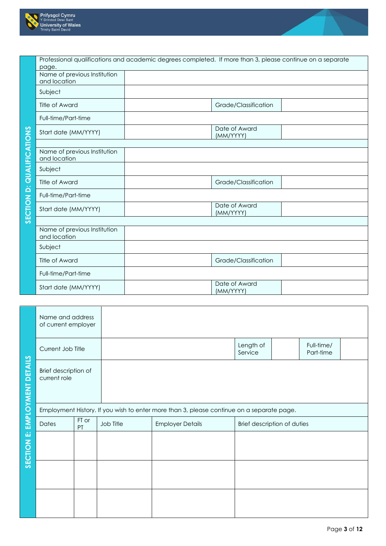



|                                  | page.                                        | Professional qualifications and academic degrees completed. If more than 3, please continue on a separate |                            |  |
|----------------------------------|----------------------------------------------|-----------------------------------------------------------------------------------------------------------|----------------------------|--|
|                                  | Name of previous Institution<br>and location |                                                                                                           |                            |  |
|                                  | Subject                                      |                                                                                                           |                            |  |
|                                  | Title of Award                               |                                                                                                           | Grade/Classification       |  |
|                                  | Full-time/Part-time                          |                                                                                                           |                            |  |
|                                  | Start date (MM/YYYY)                         |                                                                                                           | Date of Award<br>(MM/YYYY) |  |
|                                  |                                              |                                                                                                           |                            |  |
|                                  | Name of previous Institution<br>and location |                                                                                                           |                            |  |
|                                  | Subject                                      |                                                                                                           |                            |  |
|                                  | <b>Title of Award</b>                        |                                                                                                           | Grade/Classification       |  |
|                                  | Full-time/Part-time                          |                                                                                                           |                            |  |
| <b>SECTION D: QUALIFICATIONS</b> | Start date (MM/YYYY)                         |                                                                                                           | Date of Award<br>(MM/YYYY) |  |
|                                  |                                              |                                                                                                           |                            |  |
|                                  | Name of previous Institution<br>and location |                                                                                                           |                            |  |
|                                  | Subject                                      |                                                                                                           |                            |  |
|                                  | <b>Title of Award</b>                        |                                                                                                           | Grade/Classification       |  |
|                                  | Full-time/Part-time                          |                                                                                                           |                            |  |
|                                  | Start date (MM/YYYY)                         |                                                                                                           | Date of Award<br>(MM/YYYY) |  |

|                       | Name and address<br>of current employer |             |           |                                                                                           |                             |                         |
|-----------------------|-----------------------------------------|-------------|-----------|-------------------------------------------------------------------------------------------|-----------------------------|-------------------------|
|                       | Current Job Title                       |             |           |                                                                                           | Length of<br>Service        | Full-time/<br>Part-time |
| <b>DETAILS</b>        | Brief description of<br>current role    |             |           |                                                                                           |                             |                         |
|                       |                                         |             |           | Employment History. If you wish to enter more than 3, please continue on a separate page. |                             |                         |
|                       | Dates                                   | FT or<br>PT | Job Title | <b>Employer Details</b>                                                                   | Brief description of duties |                         |
| SECTION E: EMPLOYMENT |                                         |             |           |                                                                                           |                             |                         |
|                       |                                         |             |           |                                                                                           |                             |                         |
|                       |                                         |             |           |                                                                                           |                             |                         |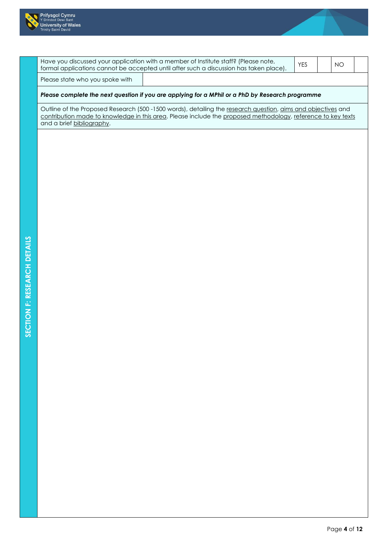



|                                 | Have you discussed your application with a member of Institute staff? (Please note,<br>formal applications cannot be accepted until after such a discussion has taken place).                                                | <b>YES</b> | <b>NO</b> |  |
|---------------------------------|------------------------------------------------------------------------------------------------------------------------------------------------------------------------------------------------------------------------------|------------|-----------|--|
| Please state who you spoke with |                                                                                                                                                                                                                              |            |           |  |
|                                 | Please complete the next question if you are applying for a MPhil or a PhD by Research programme                                                                                                                             |            |           |  |
| and a brief bibliography.       | Outline of the Proposed Research (500 -1500 words), detailing the research question, aims and objectives and<br>contribution made to knowledge in this area. Please include the proposed methodology, reference to key texts |            |           |  |
|                                 |                                                                                                                                                                                                                              |            |           |  |
|                                 |                                                                                                                                                                                                                              |            |           |  |
|                                 |                                                                                                                                                                                                                              |            |           |  |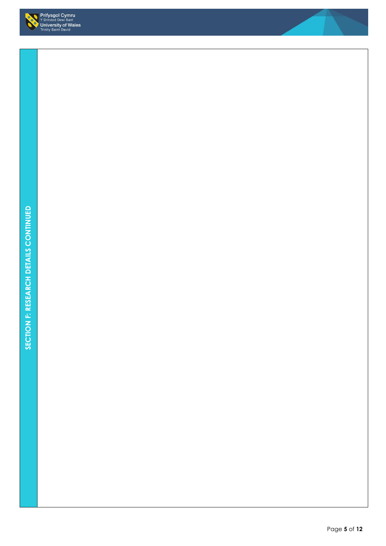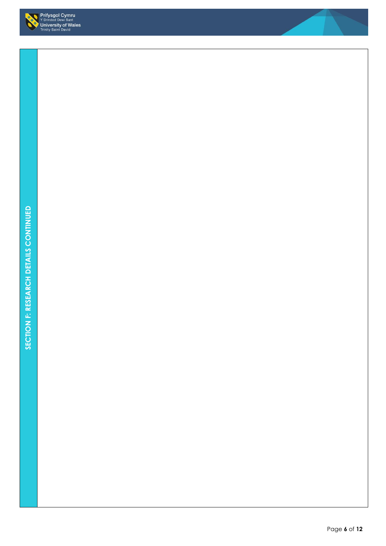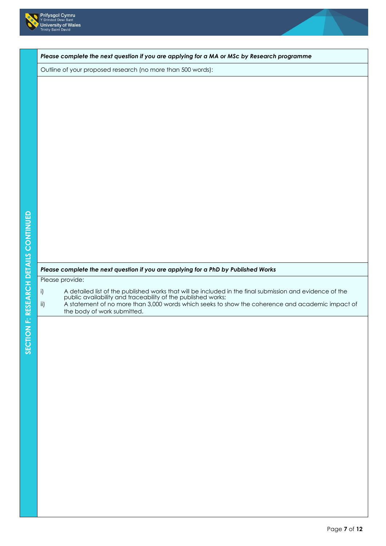



*Please complete the next question if you are applying for a MA or MSc by Research programme*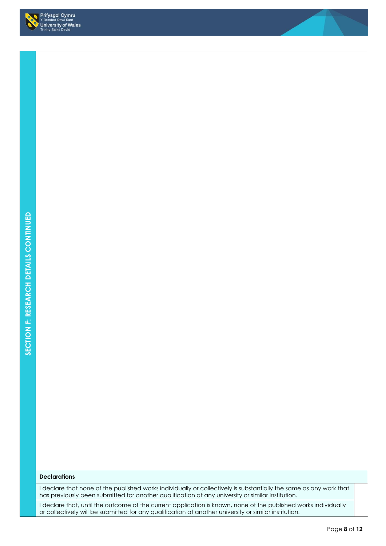

## **Declarations**

I declare that none of the published works individually or collectively is substantially the same as any work that has previously been submitted for another qualification at any university or similar institution.

I declare that, until the outcome of the current application is known, none of the published works individually or collectively will be submitted for any qualification at another university or similar institution.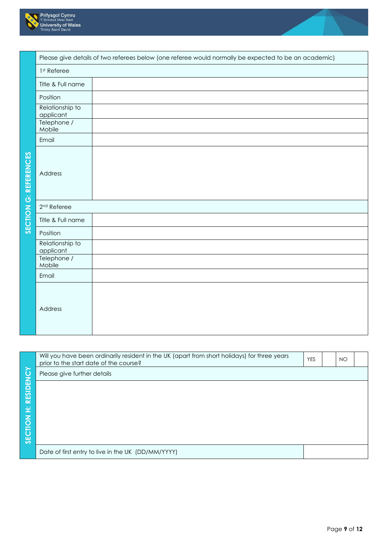



|                 | Will you have been ordinarily resident in the UK (apart from short holidays) for three years<br>prior to the start date of the course? | <b>YES</b> | NO. |  |
|-----------------|----------------------------------------------------------------------------------------------------------------------------------------|------------|-----|--|
|                 | Please give further details                                                                                                            |            |     |  |
| <b>RESIDENC</b> |                                                                                                                                        |            |     |  |
|                 |                                                                                                                                        |            |     |  |
| ÷,              |                                                                                                                                        |            |     |  |
| SECTION         |                                                                                                                                        |            |     |  |
|                 |                                                                                                                                        |            |     |  |
|                 | Date of first entry to live in the UK (DD/MM/YYYY)                                                                                     |            |     |  |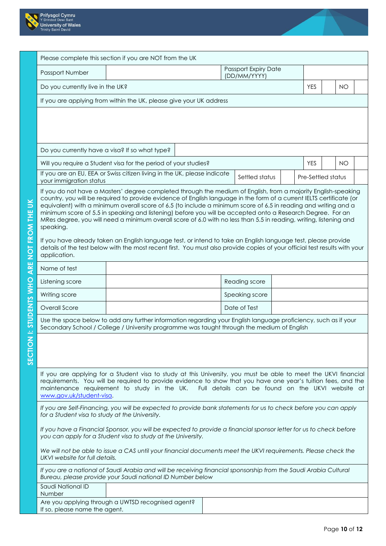



|                          |                                                | Please complete this section if you are NOT from the UK                                                                                                                                                                                                                                                                                                                                                                                                                                                                                                                                                                                                                                                                                                                                                                                       |  |                                             |                    |           |  |
|--------------------------|------------------------------------------------|-----------------------------------------------------------------------------------------------------------------------------------------------------------------------------------------------------------------------------------------------------------------------------------------------------------------------------------------------------------------------------------------------------------------------------------------------------------------------------------------------------------------------------------------------------------------------------------------------------------------------------------------------------------------------------------------------------------------------------------------------------------------------------------------------------------------------------------------------|--|---------------------------------------------|--------------------|-----------|--|
|                          | Passport Number                                |                                                                                                                                                                                                                                                                                                                                                                                                                                                                                                                                                                                                                                                                                                                                                                                                                                               |  | <b>Passport Expiry Date</b><br>(DD/MM/YYYY) |                    |           |  |
|                          | Do you currently live in the UK?               |                                                                                                                                                                                                                                                                                                                                                                                                                                                                                                                                                                                                                                                                                                                                                                                                                                               |  |                                             | <b>YES</b>         | <b>NO</b> |  |
|                          |                                                | If you are applying from within the UK, please give your UK address                                                                                                                                                                                                                                                                                                                                                                                                                                                                                                                                                                                                                                                                                                                                                                           |  |                                             |                    |           |  |
|                          |                                                |                                                                                                                                                                                                                                                                                                                                                                                                                                                                                                                                                                                                                                                                                                                                                                                                                                               |  |                                             |                    |           |  |
|                          | Do you currently have a visa? If so what type? |                                                                                                                                                                                                                                                                                                                                                                                                                                                                                                                                                                                                                                                                                                                                                                                                                                               |  |                                             |                    |           |  |
|                          |                                                | Will you require a Student visa for the period of your studies?                                                                                                                                                                                                                                                                                                                                                                                                                                                                                                                                                                                                                                                                                                                                                                               |  |                                             | <b>YES</b>         | <b>NO</b> |  |
|                          | your immigration status                        | If you are an EU, EEA or Swiss citizen living in the UK, please indicate                                                                                                                                                                                                                                                                                                                                                                                                                                                                                                                                                                                                                                                                                                                                                                      |  | Settled status                              | Pre-Settled status |           |  |
| NOT FROM THE UK          | speaking.<br>application.                      | If you do not have a Masters' degree completed through the medium of English, from a majority English-speaking<br>country, you will be required to provide evidence of English language in the form of a current IELTS certificate (or<br>equivalent) with a minimum overall score of 6.5 (to include a minimum score of 6.5 in reading and writing and a<br>minimum score of 5.5 in speaking and listening) before you will be accepted onto a Research Degree. For an<br>MRes degree, you will need a minimum overall score of 6.0 with no less than 5.5 in reading, writing, listening and<br>If you have already taken an English language test, or intend to take an English language test, please provide<br>details of the test below with the most recent first. You must also provide copies of your official test results with your |  |                                             |                    |           |  |
| ARE                      | Name of test                                   |                                                                                                                                                                                                                                                                                                                                                                                                                                                                                                                                                                                                                                                                                                                                                                                                                                               |  |                                             |                    |           |  |
|                          | Listening score                                |                                                                                                                                                                                                                                                                                                                                                                                                                                                                                                                                                                                                                                                                                                                                                                                                                                               |  | Reading score                               |                    |           |  |
| I: STUDENTS WHO          | Writing score                                  |                                                                                                                                                                                                                                                                                                                                                                                                                                                                                                                                                                                                                                                                                                                                                                                                                                               |  | Speaking score                              |                    |           |  |
|                          | Overall Score                                  |                                                                                                                                                                                                                                                                                                                                                                                                                                                                                                                                                                                                                                                                                                                                                                                                                                               |  | Date of Test                                |                    |           |  |
|                          |                                                | Use the space below to add any further information regarding your English language proficiency, such as if your<br>Secondary School / College / University programme was taught through the medium of English                                                                                                                                                                                                                                                                                                                                                                                                                                                                                                                                                                                                                                 |  |                                             |                    |           |  |
| $\overline{z}$<br>SECTIO | www.gov.uk/student-visa.                       | If you are applying for a Student visa to study at this University, you must be able to meet the UKVI financial<br>requirements. You will be required to provide evidence to show that you have one year's tuition fees, and the<br>maintenance requirement to study in the UK. Full details can be found on the UKVI website at                                                                                                                                                                                                                                                                                                                                                                                                                                                                                                              |  |                                             |                    |           |  |
|                          | for a Student visa to study at the University. | If you are Self-Financing, you will be expected to provide bank statements for us to check before you can apply                                                                                                                                                                                                                                                                                                                                                                                                                                                                                                                                                                                                                                                                                                                               |  |                                             |                    |           |  |
|                          |                                                | If you have a Financial Sponsor, you will be expected to provide a financial sponsor letter for us to check before<br>you can apply for a Student visa to study at the University.                                                                                                                                                                                                                                                                                                                                                                                                                                                                                                                                                                                                                                                            |  |                                             |                    |           |  |
|                          | UKVI website for full details.                 | We will not be able to issue a CAS until your financial documents meet the UKVI requirements. Please check the                                                                                                                                                                                                                                                                                                                                                                                                                                                                                                                                                                                                                                                                                                                                |  |                                             |                    |           |  |
|                          |                                                | If you are a national of Saudi Arabia and will be receiving financial sponsorship from the Saudi Arabia Cultural<br>Bureau, please provide your Saudi national ID Number below                                                                                                                                                                                                                                                                                                                                                                                                                                                                                                                                                                                                                                                                |  |                                             |                    |           |  |
|                          | Saudi National ID<br><b>Number</b>             |                                                                                                                                                                                                                                                                                                                                                                                                                                                                                                                                                                                                                                                                                                                                                                                                                                               |  |                                             |                    |           |  |
|                          | If so, please name the agent.                  | Are you applying through a UWTSD recognised agent?                                                                                                                                                                                                                                                                                                                                                                                                                                                                                                                                                                                                                                                                                                                                                                                            |  |                                             |                    |           |  |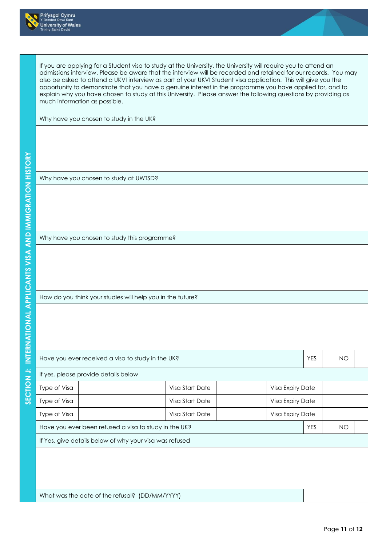



| Why have you chosen to study in the UK?                    |                 |                  |            |           |  |  |  |  |  |  |
|------------------------------------------------------------|-----------------|------------------|------------|-----------|--|--|--|--|--|--|
|                                                            |                 |                  |            |           |  |  |  |  |  |  |
|                                                            |                 |                  |            |           |  |  |  |  |  |  |
|                                                            |                 |                  |            |           |  |  |  |  |  |  |
|                                                            |                 |                  |            |           |  |  |  |  |  |  |
| Why have you chosen to study at UWTSD?                     |                 |                  |            |           |  |  |  |  |  |  |
|                                                            |                 |                  |            |           |  |  |  |  |  |  |
|                                                            |                 |                  |            |           |  |  |  |  |  |  |
|                                                            |                 |                  |            |           |  |  |  |  |  |  |
|                                                            |                 |                  |            |           |  |  |  |  |  |  |
| Why have you chosen to study this programme?               |                 |                  |            |           |  |  |  |  |  |  |
|                                                            |                 |                  |            |           |  |  |  |  |  |  |
|                                                            |                 |                  |            |           |  |  |  |  |  |  |
|                                                            |                 |                  |            |           |  |  |  |  |  |  |
| How do you think your studies will help you in the future? |                 |                  |            |           |  |  |  |  |  |  |
|                                                            |                 |                  |            |           |  |  |  |  |  |  |
|                                                            |                 |                  |            |           |  |  |  |  |  |  |
|                                                            |                 |                  |            |           |  |  |  |  |  |  |
|                                                            |                 |                  |            |           |  |  |  |  |  |  |
| Have you ever received a visa to study in the UK?          |                 |                  | <b>YES</b> | <b>NO</b> |  |  |  |  |  |  |
| If yes, please provide details below                       |                 |                  |            |           |  |  |  |  |  |  |
| Type of Visa                                               | Visa Start Date | Visa Expiry Date |            |           |  |  |  |  |  |  |
|                                                            | Visa Start Date | Visa Expiry Date |            |           |  |  |  |  |  |  |
| Type of Visa                                               | Visa Start Date | Visa Expiry Date |            |           |  |  |  |  |  |  |
| Type of Visa                                               |                 |                  | <b>YES</b> | <b>NO</b> |  |  |  |  |  |  |
| Have you ever been refused a visa to study in the UK?      |                 |                  |            |           |  |  |  |  |  |  |
| If Yes, give details below of why your visa was refused    |                 |                  |            |           |  |  |  |  |  |  |